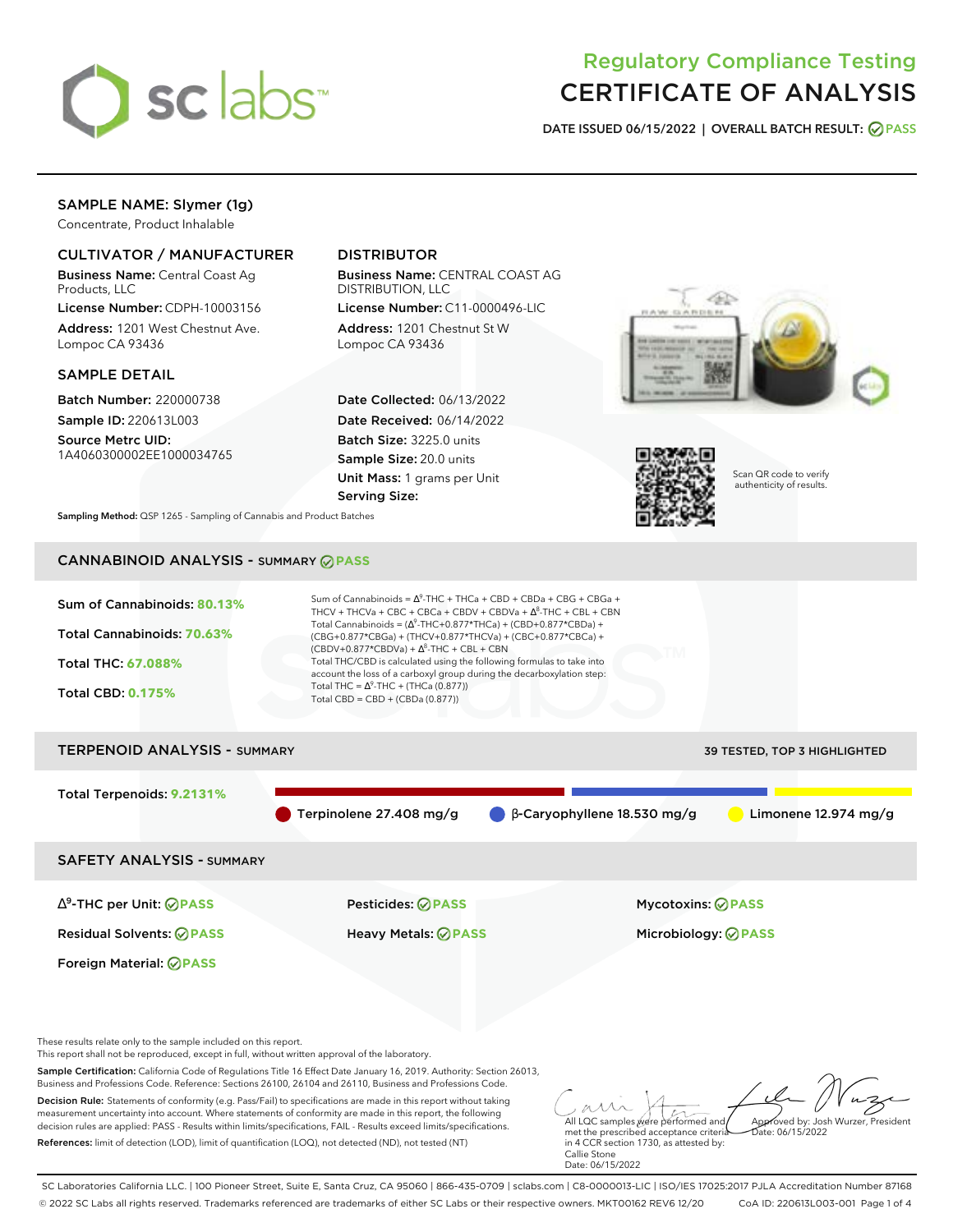

# Regulatory Compliance Testing CERTIFICATE OF ANALYSIS

**DATE ISSUED 06/15/2022 | OVERALL BATCH RESULT: PASS**

## SAMPLE NAME: Slymer (1g)

Concentrate, Product Inhalable

### CULTIVATOR / MANUFACTURER

Business Name: Central Coast Ag Products, LLC

License Number: CDPH-10003156 Address: 1201 West Chestnut Ave. Lompoc CA 93436

### SAMPLE DETAIL

Batch Number: 220000738 Sample ID: 220613L003

Source Metrc UID: 1A4060300002EE1000034765

# DISTRIBUTOR

Business Name: CENTRAL COAST AG DISTRIBUTION, LLC License Number: C11-0000496-LIC

Address: 1201 Chestnut St W Lompoc CA 93436

Date Collected: 06/13/2022 Date Received: 06/14/2022 Batch Size: 3225.0 units Sample Size: 20.0 units Unit Mass: 1 grams per Unit Serving Size:





Scan QR code to verify authenticity of results.

**Sampling Method:** QSP 1265 - Sampling of Cannabis and Product Batches

# CANNABINOID ANALYSIS - SUMMARY **PASS**



Total Terpenoids: **9.2131%** Terpinolene 27.408 mg/g β-Caryophyllene 18.530 mg/g Limonene 12.974 mg/g

SAFETY ANALYSIS - SUMMARY

∆ 9 -THC per Unit: **PASS** Pesticides: **PASS** Mycotoxins: **PASS**

Foreign Material: **PASS**

Residual Solvents: **PASS** Heavy Metals: **PASS** Microbiology: **PASS**

These results relate only to the sample included on this report.

This report shall not be reproduced, except in full, without written approval of the laboratory.

Sample Certification: California Code of Regulations Title 16 Effect Date January 16, 2019. Authority: Section 26013, Business and Professions Code. Reference: Sections 26100, 26104 and 26110, Business and Professions Code.

Decision Rule: Statements of conformity (e.g. Pass/Fail) to specifications are made in this report without taking measurement uncertainty into account. Where statements of conformity are made in this report, the following decision rules are applied: PASS - Results within limits/specifications, FAIL - Results exceed limits/specifications. References: limit of detection (LOD), limit of quantification (LOQ), not detected (ND), not tested (NT)

All LQC samples were performed and met the prescribed acceptance criteria Approved by: Josh Wurzer, President  $hat: 06/15/2022$ 

in 4 CCR section 1730, as attested by: Callie Stone Date: 06/15/2022

SC Laboratories California LLC. | 100 Pioneer Street, Suite E, Santa Cruz, CA 95060 | 866-435-0709 | sclabs.com | C8-0000013-LIC | ISO/IES 17025:2017 PJLA Accreditation Number 87168 © 2022 SC Labs all rights reserved. Trademarks referenced are trademarks of either SC Labs or their respective owners. MKT00162 REV6 12/20 CoA ID: 220613L003-001 Page 1 of 4